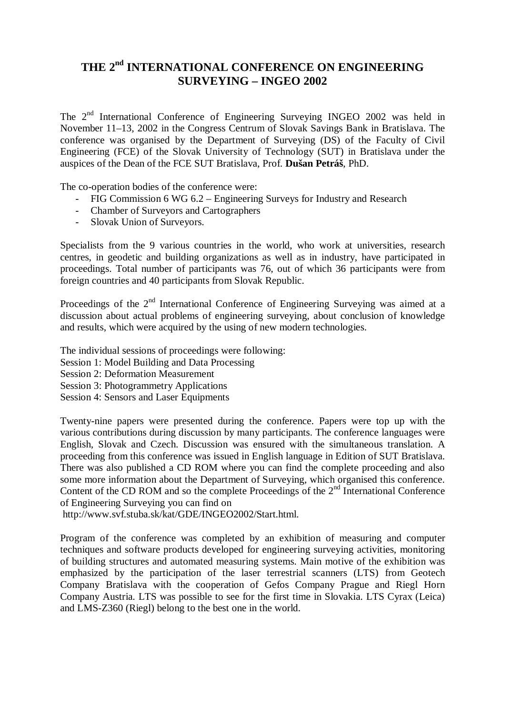## **THE 2nd INTERNATIONAL CONFERENCE ON ENGINEERING SURVEYING – INGEO 2002**

The 2nd International Conference of Engineering Surveying INGEO 2002 was held in November 11–13, 2002 in the Congress Centrum of Slovak Savings Bank in Bratislava. The conference was organised by the Department of Surveying (DS) of the Faculty of Civil Engineering (FCE) of the Slovak University of Technology (SUT) in Bratislava under the auspices of the Dean of the FCE SUT Bratislava, Prof. **Dušan Petráš**, PhD.

The co-operation bodies of the conference were:

- FIG Commission 6 WG 6.2 Engineering Surveys for Industry and Research
- Chamber of Surveyors and Cartographers
- Slovak Union of Surveyors.

Specialists from the 9 various countries in the world, who work at universities, research centres, in geodetic and building organizations as well as in industry, have participated in proceedings. Total number of participants was 76, out of which 36 participants were from foreign countries and 40 participants from Slovak Republic.

Proceedings of the 2<sup>nd</sup> International Conference of Engineering Surveying was aimed at a discussion about actual problems of engineering surveying, about conclusion of knowledge and results, which were acquired by the using of new modern technologies.

The individual sessions of proceedings were following:

- Session 1: Model Building and Data Processing
- Session 2: Deformation Measurement
- Session 3: Photogrammetry Applications
- Session 4: Sensors and Laser Equipments

Twenty-nine papers were presented during the conference. Papers were top up with the various contributions during discussion by many participants. The conference languages were English, Slovak and Czech. Discussion was ensured with the simultaneous translation. A proceeding from this conference was issued in English language in Edition of SUT Bratislava. There was also published a CD ROM where you can find the complete proceeding and also some more information about the Department of Surveying, which organised this conference. Content of the CD ROM and so the complete Proceedings of the  $2<sup>nd</sup>$  International Conference of Engineering Surveying you can find on

http://www.svf.stuba.sk/kat/GDE/INGEO2002/Start.html.

Program of the conference was completed by an exhibition of measuring and computer techniques and software products developed for engineering surveying activities, monitoring of building structures and automated measuring systems. Main motive of the exhibition was emphasized by the participation of the laser terrestrial scanners (LTS) from Geotech Company Bratislava with the cooperation of Gefos Company Prague and Riegl Horn Company Austria. LTS was possible to see for the first time in Slovakia. LTS Cyrax (Leica) and LMS-Z360 (Riegl) belong to the best one in the world.